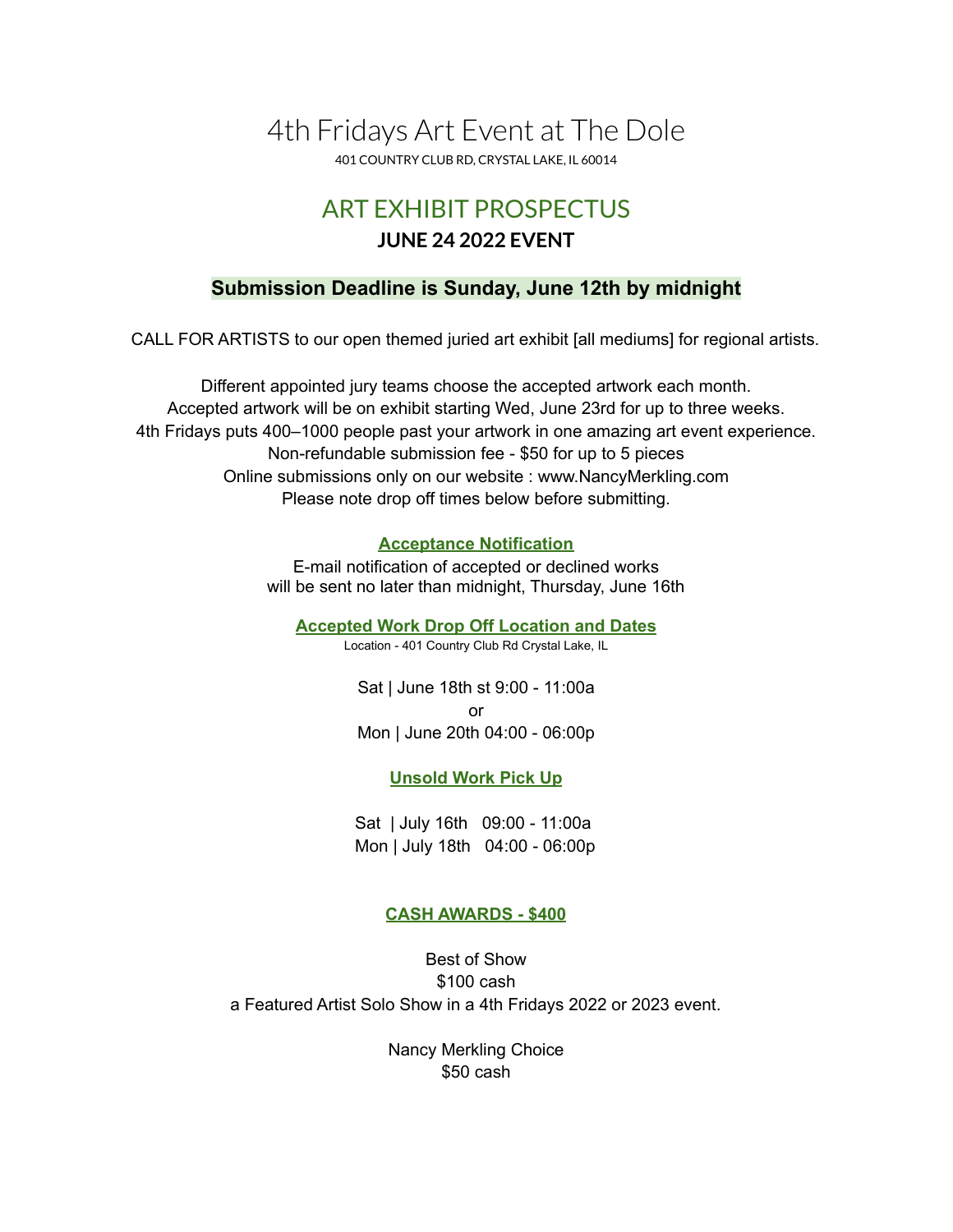# 4th Fridays Art Event at The Dole

401 COUNTRY CLUB RD, CRYSTAL LAKE, IL 60014

# ART EXHIBIT PROSPECTUS **JUNE 24 2022 EVENT**

# **Submission Deadline is Sunday, June 12th by midnight**

CALL FOR ARTISTS to our open themed juried art exhibit [all mediums] for regional artists.

Different appointed jury teams choose the accepted artwork each month. Accepted artwork will be on exhibit starting Wed, June 23rd for up to three weeks. 4th Fridays puts 400–1000 people past your artwork in one amazing art event experience. Non-refundable submission fee - \$50 for up to 5 pieces Online submissions only on our website : www.NancyMerkling.com Please note drop off times below before submitting.

#### **Acceptance Notification**

E-mail notification of accepted or declined works will be sent no later than midnight, Thursday, June 16th

**Accepted Work Drop Off Location and Dates**

Location - 401 Country Club Rd Crystal Lake, IL

Sat | June 18th st 9:00 - 11:00a or Mon | June 20th 04:00 - 06:00p

**Unsold Work Pick Up**

Sat | July 16th 09:00 - 11:00a Mon | July 18th 04:00 - 06:00p

### **CASH AWARDS - \$400**

Best of Show \$100 cash a Featured Artist Solo Show in a 4th Fridays 2022 or 2023 event.

> Nancy Merkling Choice \$50 cash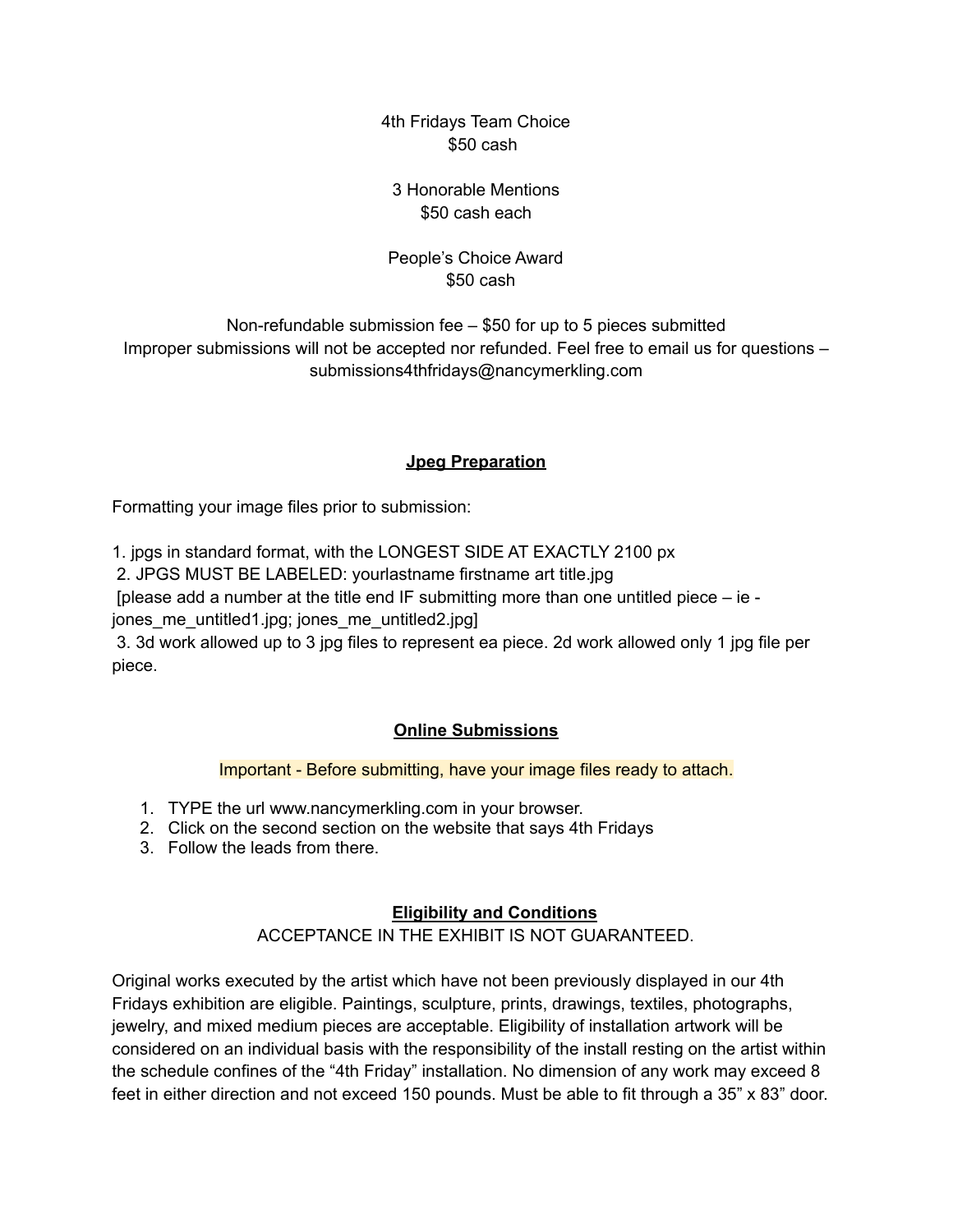4th Fridays Team Choice \$50 cash

3 Honorable Mentions \$50 cash each

People's Choice Award \$50 cash

Non-refundable submission fee – \$50 for up to 5 pieces submitted Improper submissions will not be accepted nor refunded. Feel free to email us for questions – submissions4thfridays@nancymerkling.com

### **Jpeg Preparation**

Formatting your image files prior to submission:

1. jpgs in standard format, with the LONGEST SIDE AT EXACTLY 2100 px

2. JPGS MUST BE LABELED: yourlastname firstname art title.jpg

[please add a number at the title end IF submitting more than one untitled piece – ie -

jones me untitled1.jpg; jones me untitled2.jpg]

3. 3d work allowed up to 3 jpg files to represent ea piece. 2d work allowed only 1 jpg file per piece.

# **Online Submissions**

### Important - Before submitting, have your image files ready to attach.

- 1. TYPE the url www.nancymerkling.com in your browser.
- 2. Click on the second section on the website that says 4th Fridays
- 3. Follow the leads from there.

# **Eligibility and Conditions**

ACCEPTANCE IN THE EXHIBIT IS NOT GUARANTEED.

Original works executed by the artist which have not been previously displayed in our 4th Fridays exhibition are eligible. Paintings, sculpture, prints, drawings, textiles, photographs, jewelry, and mixed medium pieces are acceptable. Eligibility of installation artwork will be considered on an individual basis with the responsibility of the install resting on the artist within the schedule confines of the "4th Friday" installation. No dimension of any work may exceed 8 feet in either direction and not exceed 150 pounds. Must be able to fit through a 35" x 83" door.